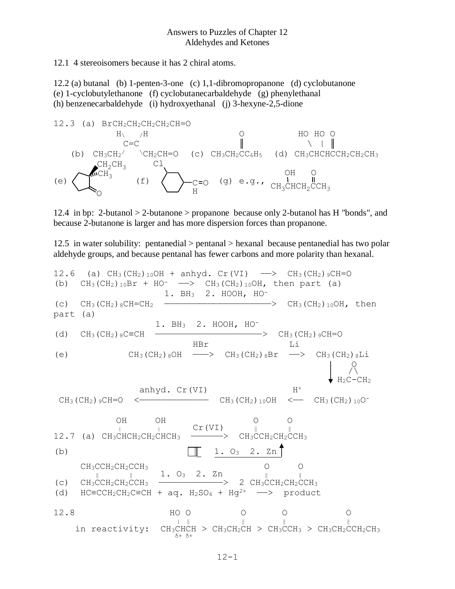12.1 4 stereoisomers because it has 2 chiral atoms.

12.2 (a) butanal (b) 1-penten-3-one (c) 1,1-dibromopropanone (d) cyclobutanone (e) 1-cyclobutylethanone (f) cyclobutanecarbaldehyde (g) phenylethanal (h) benzenecarbaldehyde (i) hydroxyethanal (j) 3-hexyne-2,5-dione



12.4 in bp: 2-butanol > 2-butanone > propanone because only 2-butanol has H "bonds", and because 2-butanone is larger and has more dispersion forces than propanone.

12.5 in water solubility: pentanedial > pentanal > hexanal because pentanedial has two polar aldehyde groups, and because pentanal has fewer carbons and more polarity than hexanal.

12.6 (a) CH<sub>3</sub>(CH<sub>2</sub>)<sub>10</sub>OH + anhyd. Cr(VI) 
$$
\longrightarrow
$$
 CH<sub>3</sub>(CH<sub>2</sub>)<sub>9</sub>CH=O  
\n(b) CH<sub>3</sub>(CH<sub>2</sub>)<sub>10</sub>Br + HO<sup>-</sup>  $\longrightarrow$  CH<sub>3</sub>(CH<sub>2</sub>)<sub>10</sub>OH, then part (a)  
\n1. BH<sub>3</sub> 2. HOOH, HO<sup>-</sup>  
\npart (a)  
\n(d) CH<sub>3</sub>(CH<sub>2</sub>)<sub>8</sub>CH=CH<sub>2</sub>  
\nHBF L  
\n1. BH<sub>3</sub> 2. HOOH, HO<sup>-</sup>  
\nCH<sub>3</sub>(CH<sub>2</sub>)<sub>8</sub>OH  $\longrightarrow$  CH<sub>3</sub>(CH<sub>2</sub>)<sub>8</sub>Br  $\longrightarrow$  CH<sub>3</sub>(CH<sub>2</sub>)<sub>8</sub>Li  
\n $\downarrow$   $\uparrow$   $\uparrow$   $\uparrow$   $\uparrow$   $\uparrow$   $\uparrow$   $\uparrow$   $\uparrow$   $\uparrow$   $\uparrow$   $\uparrow$   $\uparrow$   $\uparrow$   $\uparrow$   $\uparrow$   $\uparrow$   $\uparrow$   $\uparrow$   $\uparrow$   $\uparrow$   $\uparrow$   $\uparrow$   $\uparrow$   $\uparrow$   $\uparrow$   $\uparrow$   $\uparrow$   $\uparrow$   $\uparrow$   $\uparrow$   $\uparrow$   $\uparrow$   $\uparrow$   $\uparrow$   $\uparrow$   $\uparrow$   $\uparrow$   $\uparrow$   $\uparrow$   $\uparrow$   $\uparrow$   $\uparrow$   $\uparrow$   $\uparrow$   $\uparrow$   $\uparrow$   $\uparrow$   $\uparrow$   $\uparrow$   $\uparrow$   $\uparrow$   $\up$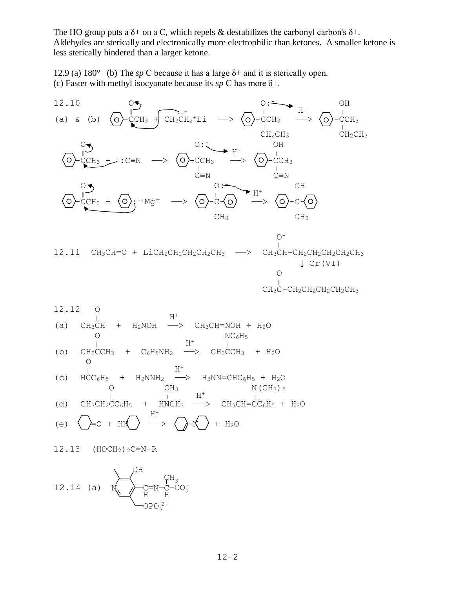The HO group puts a  $\delta$ + on a C, which repels & destabilizes the carbonyl carbon's  $\delta$ +. Aldehydes are sterically and electronically more electrophilic than ketones. A smaller ketone is less sterically hindered than a larger ketone.

12.9 (a) 180° (b) The *sp* C because it has a large δ+ and it is sterically open. (c) Faster with methyl isocyanate because its *sp* C has more δ+.



 $12.13$  (HOCH<sub>2</sub>)<sub>2</sub>C=N-R

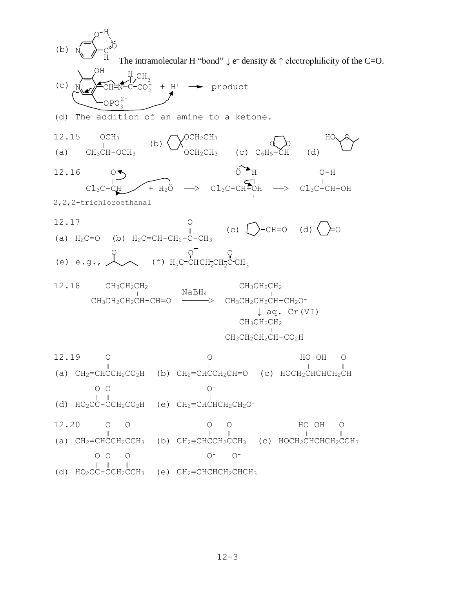N. *I*-c H <sup>O</sup> <sup>H</sup>  $(b)$ .. The intramolecular H "bond"  $\downarrow$  e<sup>-</sup> density &  $\uparrow$  electrophilicity of the C=O. N. .~ » FCH=N-C  $H_{CH_3}$ OPO<sup>3</sup> OH  $\mathsf{CO}_{2}^-$ (c) 2-  $+ H^+ \rightarrow$  product (d) The addition of an amine to a ketone.  $12.15$  OCH<sub>3</sub>  $\bigwedge$ OCH<sub>2</sub>CH<sub>3</sub>  $\bigwedge$  HO OCH<sub>2</sub>  $(b) \left( \begin{array}{c} \sqrt{2} \cos \theta \\ \sqrt{2} \cos \theta \end{array} \right)$ (a)  $CH_3CH-OCH_3$   $\rightarrow$   $OCH_2CH_3$  (c)  $C_6H_5\rightarrow CH$  (d)  $12.16$  O  $\bigcirc$   $\bigcirc$   $\bigcirc$   $\bigcirc$   $\bigcirc$   $\bigcirc$   $\bigcirc$   $\bigcirc$   $\bigcirc$   $\bigcirc$   $\bigcirc$   $\bigcirc$   $\bigcirc$  $\begin{array}{ccc} \begin{array}{ccc} \cdot & \cdot & \cdot & \cdot \\ \hline \cdot & \cdot & \cdot & \cdot \\ \hline \end{array} & \begin{array}{ccc} \cdot & \cdot & \cdot & \cdot \\ \hline \cdot & \cdot & \cdot & \cdot \\ \hline \end{array} & \begin{array}{ccc} \cdot & \cdot & \cdot & \cdot \\ \hline \cdot & \cdot & \cdot & \cdot \\ \hline \end{array} & \begin{array}{ccc} \cdot & \cdot & \cdot & \cdot \\ \hline \cdot & \cdot & \cdot & \cdot \\ \hline \end{array} \end{array}$  $\text{Cl}_3\text{C}-\text{CH}$   $\swarrow$  +  $\text{H}_2\text{O}$   $\longrightarrow$   $\text{Cl}_3\text{C}-\text{CH}^2\text{OH}$   $\longrightarrow$   $\text{Cl}_3\text{C}-\text{CH}-\text{OH}$  $\frac{1}{2}$ 2,2,2-trichloroethanal 12.17 O (c)  $\left[\right. \left. \right. \right.$   $\left(-\right)$   $\left(\right. \left. \right. \right)$   $\left(-\right)$   $\left(\right. \left. \right)$   $\left(\right. \right)$ (a)  $H_2C=O$  (b)  $H_2C=CH-CH_2-C-CH_3$ O н $_{3}$ с-снсн $_{2}$ сн $_{2}$ с-сн $_{3}$ O O  $(e)$  e.g.,  $12.18$  CH<sub>3</sub>CH<sub>2</sub>CH<sub>2</sub> CH<sub>3</sub>CH<sub>2</sub>CH<sub>2</sub>  $\begin{array}{ccc} \texttt{NabH}_4 & \texttt{only} & \texttt{only} & \texttt{only} & \texttt{only} & \texttt{ly} \end{array}$  $CH_3CH_2CH_2CH-CH=O$  ————>  $CH_3CH_2CH_2CH-CH_2O^-$  ↓ aq. Cr(VI) CH3CH2CH<sup>2</sup>  $\frac{1}{\sqrt{2}}$  $CH_3CH_2CH_2CH-CO_2H$ 12.19 O O HO OH O ‖ ‖ <sup>|</sup> <sup>|</sup> ‖ (a)  $CH_2=CHCCH_2CO_2H$  (b)  $CH_2=CHCCH_2CH=O$  (c)  $HOCH_2CHCHCH_2CH$  $\overline{O}$   $\overline{O}$   $\overline{O}$   $\overline{O}$   $\overline{O}$   $\overline{O}$   $\overline{O}$   $\overline{O}$   $\overline{O}$   $\overline{O}$   $\overline{O}$   $\overline{O}$   $\overline{O}$   $\overline{O}$   $\overline{O}$   $\overline{O}$   $\overline{O}$   $\overline{O}$   $\overline{O}$   $\overline{O}$   $\overline{O}$   $\overline{O}$   $\overline{O}$   $\overline{O}$   $\overline{$  $\parallel$  |  $\parallel$  |  $\parallel$ (d) HO2CC-CCH2CO2H (e) CH2=CHCHCH2CH2O-12.20 0 0 0 0 0 HO OH O ‖ ‖ ‖ ‖ | | ‖ (a)  $CH_2=CHCCH_2CCH_3$  (b)  $CH_2=CHCCH_2CCH_3$  (c) HOCH<sub>2</sub>CHCHCH<sub>2</sub>CCH<sub>3</sub> O O O O- O-  $\blacksquare$ (d)  $HO_2C\ddot{C}-\ddot{C}CH_2\ddot{C}CH_3$  (e)  $CH_2=CHCHCH_2CHCH_3$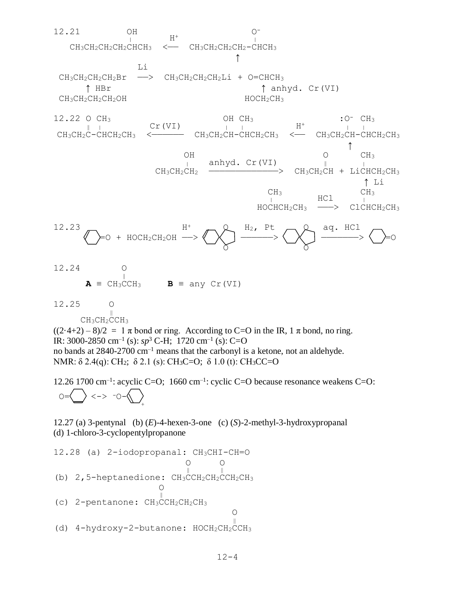

 O O  $\frac{1}{\sqrt{2}}$ (b) 2,5-heptanedione: CH3CCH<sub>2</sub>CH<sub>2</sub>CCH<sub>2</sub>CH<sub>3</sub> **Only the Contract of Contract of Contract of Contract of Contract of Contract of Contract of Contract of Contract of Contract of Contract of Contract of Contract of Contract of Contract of Contract of Contract of Contract** ‖ (c) 2-pentanone: CH3CCH2CH2CH<sup>3</sup> O ‖ (d) 4-hydroxy-2-butanone: HOCH2CH2CCH3

 $12 - 4$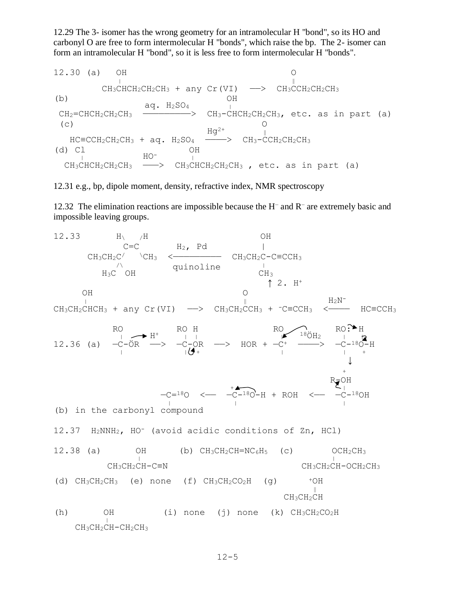12.29 The 3- isomer has the wrong geometry for an intramolecular H "bond", so its HO and carbonyl O are free to form intermolecular H "bonds", which raise the bp. The 2- isomer can form an intramolecular H "bond", so it is less free to form intermolecular H "bonds".

12.30 (a) OH O  $\|$  $CH_3CHCH_2CH_2CH_3$  + any Cr(VI)  $\longrightarrow$  CH3CCH2CH2CH3 (b) OH (b)  $\qquad \qquad \text{aq. H}_2\text{SO}_4$  OH  $CH_2=CHCH_2CH_2CH_3$   $\longrightarrow$   $CH_3-CHCH_2CH_2CH_3$ , etc. as in part (a) (c) O (c)  $\overline{Hg^{2+}}$  O<br>HC=CCH<sub>2</sub>CH<sub>2</sub>CH<sub>3</sub> + aq. H<sub>2</sub>SO<sub>4</sub>  $\overline{Hg^{2+}}$  CH<sub>3</sub>-CCH<sub>2</sub>CH<sub>2</sub>CH<sub>3</sub>  $HC=CCH_2CH_2CH_3 + aq. H_2SO_4$  — (d) Cl  $\qquad \qquad \begin{array}{ccccc} & & & \text{OH} & & \text{OH} & \text{COH} & \text{COH} & \text{COH} & \text{COH} & \text{COH} & \text{COH} & \text{COH} & \text{COH} & \text{COH} & \text{COH} & \text{COH} & \text{COH} & \text{COH} & \text{COH} & \text{COH} & \text{COH} & \text{COH} & \text{COH} & \text{COH} & \text{COH} & \text{COH} & \text{COH} & \text{COH} & \text{COH} & \text{COH} & \text{COH} & \$  $\begin{bmatrix} 1 & 0 & 0 \\ 0 & 0 & 0 \\ 0 & 0 & 0 \\ 0 & 0 & 0 \\ 0 & 0 & 0 \\ 0 & 0 & 0 \\ 0 & 0 & 0 \\ 0 & 0 & 0 \\ 0 & 0 & 0 \\ 0 & 0 & 0 \\ 0 & 0 & 0 \\ 0 & 0 & 0 \\ 0 & 0 & 0 \\ 0 & 0 & 0 \\ 0 & 0 & 0 & 0 \\ 0 & 0 & 0 & 0 \\ 0 & 0 & 0 & 0 \\ 0 & 0 & 0 & 0 \\ 0 & 0 & 0 & 0 & 0 \\ 0 & 0 & 0 & 0 & 0 \\ 0 & 0 & 0 &$ CH<sub>3</sub>CHCH<sub>2</sub>CH<sub>2</sub>CH<sub>3</sub> --> CH<sub>3</sub>CHCH<sub>2</sub>CH<sub>2</sub>CH<sub>3</sub>, etc. as in part (a)

12.31 e.g., bp, dipole moment, density, refractive index, NMR spectroscopy

12.32 The elimination reactions are impossible because the H<sup>-</sup> and R<sup>-</sup> are extremely basic and impossible leaving groups.

 $12.33$  H  $/H$  OH  $C=C$   $H_2$ ,  $Pd$  |  $CH_3CH_2C$   $\vee$   $CH_3$   $\leftarrow$   $CH_3CH_2C-C=CCH_3$ quinoline  $\overline{CH_3}$  $H_3C$  OH  $\uparrow$  2. H<sup>+</sup> OH O <sup>|</sup> ‖ H2N- $\texttt{CH}_3\texttt{CH}_2\texttt{CHCH}_3$  + any Cr(VI) ——>  $\texttt{CH}_3\texttt{CH}_2\texttt{CCH}_3$  +  $\texttt{--C=CCH}_3$  <———  $\texttt{HC=CCH}_3$ RO ROH RO $\bigcap_{n \geq 0}$  RO $\bigcap_{n \geq 1}$  RO $\bigcap_{n \geq 1}$  RO $\bigcap_{n \geq 1}$  H  $\bigcap_{1} \longrightarrow H^+$   $\longrightarrow$   $\bigcap_{1} \longrightarrow$   $\bigcap_{1} \longrightarrow$   $\bigcap_{1} \longrightarrow$   $\bigcap_{1} \longrightarrow$   $\bigcap_{1} \longrightarrow$   $\bigcap_{1} \longrightarrow$   $\bigcap_{1} \longrightarrow$   $\bigcap_{1} \longrightarrow$   $\bigcap_{1} \longrightarrow$   $\bigcap_{1} \longrightarrow$   $\bigcap_{1} \longrightarrow$   $\bigcap_{1} \longrightarrow$   $\bigcap_{1} \longrightarrow$   $\bigcap_{1} \longrightarrow$   $\bigcap_{1} \longrightarrow$   $\bigcap_{1} \longrightarrow$   $\bigcap_{1} \longrightarrow$   $\bigcap_{1} \longrightarrow$   $\bigcap$ 12.36 (a)  $-C-\ddot{O}R$  —>  $-C-\dot{O}R$  —> HOR +  $-C^{+}$  ———>  $-C^{-18}\dot{O}-H$  $\frac{1}{4}$   $\frac{1}{4}$   $\frac{1}{4}$   $\frac{1}{4}$   $\frac{1}{4}$   $\frac{1}{4}$   $\frac{1}{4}$   $\frac{1}{4}$   $\frac{1}{4}$   $\frac{1}{4}$  $\downarrow$  $+$  R-OH <sup>+</sup> <sup>|</sup>  $-C=18$ O  $< -C-18$ O $-H + ROH$   $< -C-18$ O $H$  <sup>|</sup> <sup>|</sup> <sup>|</sup> (b) in the carbonyl compound 12.37 H2NNH2, HO- (avoid acidic conditions of Zn, HCl) 12.38 (a) OH (b)  $CH_3CH_2CH=NC_6H_5$  (c)  $OCH_2CH_3$  $\begin{bmatrix} 1 & 0 & 0 \\ 0 & 1 & 0 \\ 0 & 0 & 0 \end{bmatrix}$  $CH_3CH_2CH-C\equiv N$  CH<sub>3</sub>CH<sub>2</sub>CH-OCH<sub>2</sub>CH<sub>3</sub> (d)  $CH_3CH_2CH_3$  (e) none (f)  $CH_3CH_2CO_2H$  (g)  $+OH$  $\frac{1}{2}$  $CH<sub>3</sub>CH<sub>2</sub>CH$ (h)  $OH$  (i) none (j) none (k)  $CH_3CH_2CO_2H$  $\begin{array}{c} \n\sqrt{11} \\
\end{array}$ CH3CH2CH-CH2CH3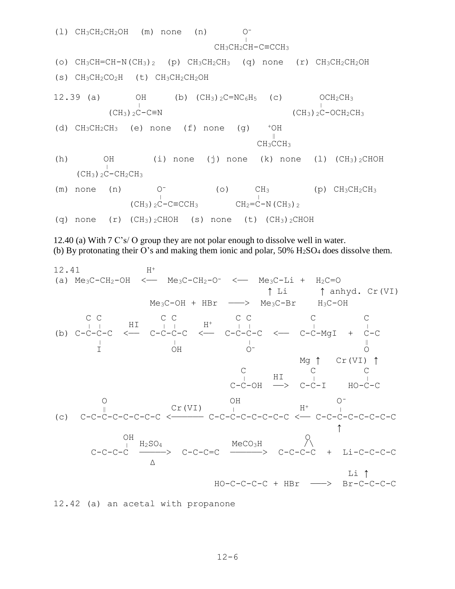(1) CH<sub>3</sub>CH<sub>2</sub>CH<sub>2</sub>OH (m) none (n) 
$$
CH_3CH_2CH-C=CCH_3
$$
  
\n(o) CH<sub>3</sub>CH=CH-N (CH<sub>3</sub>)<sub>2</sub> (p) CH<sub>3</sub>CH<sub>2</sub>CH<sub>3</sub> (q) none (r) CH<sub>3</sub>CH<sub>2</sub>CH<sub>2</sub>OH  
\n(s) CH<sub>3</sub>CH<sub>2</sub>CO<sub>2</sub>H (t) CH<sub>3</sub>CH<sub>2</sub>CH<sub>2</sub>OH (b) (CH<sub>3</sub>)<sub>2</sub>C=NC<sub>6</sub>H<sub>5</sub> (c) OCH<sub>2</sub>CH<sub>3</sub>  
\n(CH<sub>3</sub>)<sub>2</sub>C-C=N (CH<sub>3</sub>)<sub>2</sub>C-CH<sub>2</sub>CH<sub>3</sub>  
\n(d) CH<sub>3</sub>CH<sub>2</sub>CH<sub>3</sub> (e) none (f) none (g)  ${}^+OH$   
\nCH<sub>3</sub><sup>||</sup>CH<sub>3</sub>  
\n(h) OH (i) none (j) none (k) none (1) (CH<sub>3</sub>)<sub>2</sub>CHOH  
\n(CH<sub>3</sub>)<sub>2</sub>C-CH<sub>2</sub>CH<sub>3</sub>  
\n(m) none (n) 0<sup>-</sup> (o) CH<sub>3</sub> (p) CH<sub>3</sub>CH<sub>2</sub>CH<sub>3</sub>  
\n(q) none (r) (CH<sub>3</sub>)<sub>2</sub>CHOH (s) none (t) (CH<sub>3</sub>)<sub>2</sub>CHOH

12.40 (a) With 7 C's/ O group they are not polar enough to dissolve well in water. (b) By protonating their O's and making them ionic and polar, 50% H2SO<sup>4</sup> does dissolve them.

12.41 
$$
H^+
$$
  
\n(a) Me<sub>3</sub>C-CH<sub>2</sub>-OH  $\leftarrow$  Me<sub>3</sub>C-CH<sub>2</sub>-O $\leftarrow$  Me<sub>3</sub>C-Li + H<sub>2</sub>C=O  
\n1  
\n $H = \frac{1}{2}$   
\n $1$   
\n $1$   
\n $1$   
\n $1$   
\n $1$   
\n $1$   
\n $1$   
\n $1$   
\n $1$   
\n $1$   
\n $1$   
\n $1$   
\n $1$   
\n $1$   
\n $1$   
\n $1$   
\n $1$   
\n $1$   
\n $1$   
\n $1$   
\n $1$   
\n $1$   
\n $1$   
\n $1$   
\n $1$   
\n $1$   
\n $1$   
\n $1$   
\n $1$   
\n $1$   
\n $1$   
\n $1$   
\n $1$   
\n $1$   
\n $1$   
\n $1$   
\n $1$   
\n $1$   
\n $1$   
\n $1$   
\n $1$   
\n $1$   
\n $1$   
\n $1$   
\n $1$   
\n $1$   
\n $1$   
\n $1$   
\n $1$   
\n $1$   
\n $1$   
\n $1$   
\n $1$   
\n $1$   
\n $1$   
\n $1$   
\n $1$   
\n $1$   
\n $1$   
\n $1$   
\n $1$   
\n $1$   
\n $1$   
\n $1$   
\n $1$   
\n

12.42 (a) an acetal with propanone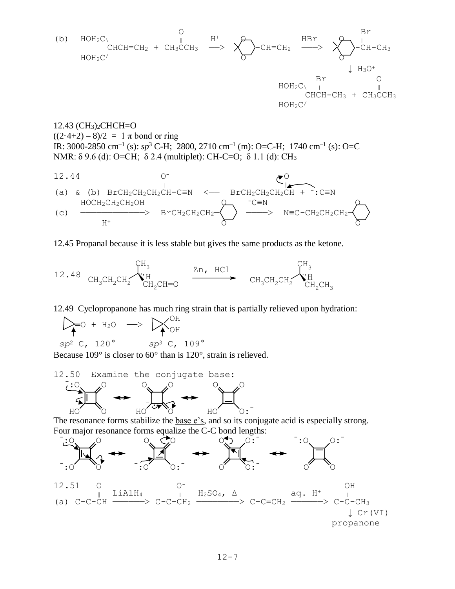

12.43 (CH3)2CHCH=O  $((2.4+2) - 8)/2 = 1 \pi$  bond or ring IR: 3000-2850 cm<sup>-1</sup> (s):  $sp^3$  C-H; 2800, 2710 cm<sup>-1</sup> (m): O=C-H; 1740 cm<sup>-1</sup> (s): O=C NMR: δ 9.6 (d): O=CH; δ 2.4 (multiplet): CH-C=O; δ 1.1 (d): CH<sub>3</sub>



## 12.45 Propanal because it is less stable but gives the same products as the ketone.



12.49 Cyclopropanone has much ring strain that is partially relieved upon hydration:

 OH  $\triangleright$  =0 + H<sub>2</sub>O  $\rightarrow$   $\triangleright$   $\sim$ *sp*<sup>2</sup> C, 120° *sp*<sup>3</sup> C, 109°

Because 109° is closer to 60° than is 120°, strain is relieved.



The resonance forms stabilize the <u>base e's</u>, and so its conjugate acid is especially strong. Four major resonance forms equalize the C-C bond lengths: